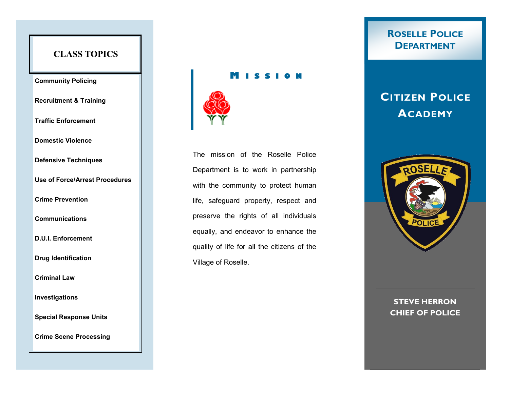## **CLASS TOPICS**

### **Community Policing**

**Recruitment & Training**

**Traffic Enforcement**

**Domestic Violence**

**Defensive Techniques**

**Use of Force/Arrest Procedures**

**Crime Prevention**

**Communications**

**D.U.I. Enforcement**

**Drug Identification**

**Criminal Law**

**Investigations**

**Special Response Units**

**Crime Scene Processing**

### **M I S S I O N**



The mission of the Roselle Police Department is to work in partnership with the community to protect human life, safeguard property, respect and preserve the rights of all individuals equally, and endeavor to enhance the quality of life for all the citizens of the Village of Roselle.

# **ROSELLE POLICE DEPARTMENT**

# **CITIZEN POLICE ACADEMY**



### **STEVE HERRON CHIEF OF POLICE**